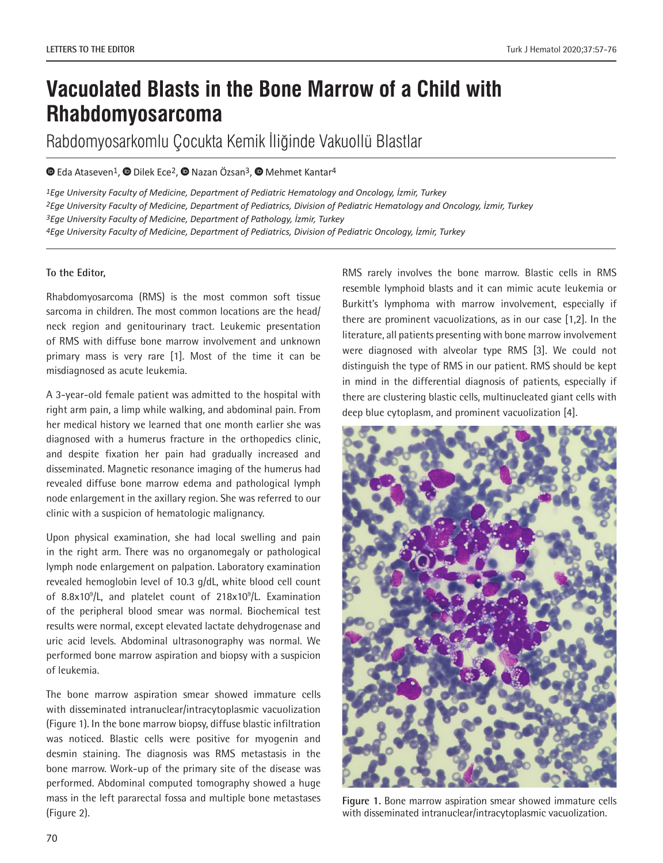# **Vacuolated Blasts in the Bone Marrow of a Child with Rhabdomyosarcoma**

Rabdomyosarkomlu Çocukta Kemik İliğinde Vakuollü Blastlar

## $\bullet$ Eda Ataseven<sup>1</sup>,  $\bullet$  Dilek Ece<sup>2</sup>,  $\bullet$  Nazan Özsan<sup>3</sup>,  $\bullet$  Mehmet Kantar<sup>4</sup>

*Ege University Faculty of Medicine, Department of Pediatric Hematology and Oncology, İzmir, Turkey Ege University Faculty of Medicine, Department of Pediatrics, Division of Pediatric Hematology and Oncology, İzmir, Turkey Ege University Faculty of Medicine, Department of Pathology, İzmir, Turkey Ege University Faculty of Medicine, Department of Pediatrics, Division of Pediatric Oncology, İzmir, Turkey*

#### **To the Editor,**

Rhabdomyosarcoma (RMS) is the most common soft tissue sarcoma in children. The most common locations are the head/ neck region and genitourinary tract. Leukemic presentation of RMS with diffuse bone marrow involvement and unknown primary mass is very rare [1]. Most of the time it can be misdiagnosed as acute leukemia.

A 3-year-old female patient was admitted to the hospital with right arm pain, a limp while walking, and abdominal pain. From her medical history we learned that one month earlier she was diagnosed with a humerus fracture in the orthopedics clinic, and despite fixation her pain had gradually increased and disseminated. Magnetic resonance imaging of the humerus had revealed diffuse bone marrow edema and pathological lymph node enlargement in the axillary region. She was referred to our clinic with a suspicion of hematologic malignancy.

Upon physical examination, she had local swelling and pain in the right arm. There was no organomegaly or pathological lymph node enlargement on palpation. Laboratory examination revealed hemoglobin level of 10.3 g/dL, white blood cell count of 8.8x10<sup>9</sup>/L, and platelet count of 218x10<sup>9</sup>/L. Examination of the peripheral blood smear was normal. Biochemical test results were normal, except elevated lactate dehydrogenase and uric acid levels. Abdominal ultrasonography was normal. We performed bone marrow aspiration and biopsy with a suspicion of leukemia.

The bone marrow aspiration smear showed immature cells with disseminated intranuclear/intracytoplasmic vacuolization (Figure 1). In the bone marrow biopsy, diffuse blastic infiltration was noticed. Blastic cells were positive for myogenin and desmin staining. The diagnosis was RMS metastasis in the bone marrow. Work-up of the primary site of the disease was performed. Abdominal computed tomography showed a huge mass in the left pararectal fossa and multiple bone metastases (Figure 2).

RMS rarely involves the bone marrow. Blastic cells in RMS resemble lymphoid blasts and it can mimic acute leukemia or Burkitt's lymphoma with marrow involvement, especially if there are prominent vacuolizations, as in our case [1,2]. In the literature, all patients presenting with bone marrow involvement were diagnosed with alveolar type RMS [3]. We could not distinguish the type of RMS in our patient. RMS should be kept in mind in the differential diagnosis of patients, especially if there are clustering blastic cells, multinucleated giant cells with deep blue cytoplasm, and prominent vacuolization [4].



**Figure 1.** Bone marrow aspiration smear showed immature cells with disseminated intranuclear/intracytoplasmic vacuolization.